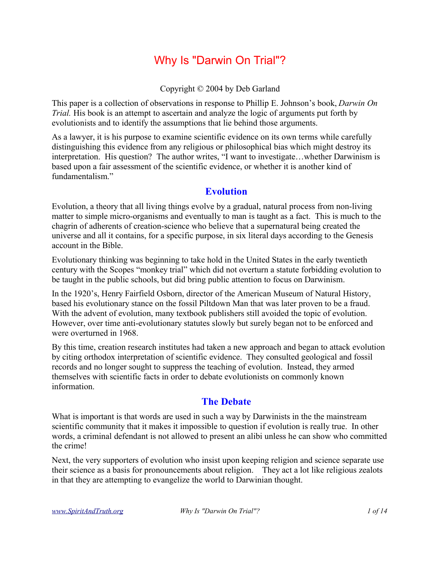# Why Is "Darwin On Trial"?

Copyright © 2004 by Deb Garland

This paper is a collection of observations in response to Phillip E. Johnson's book, *Darwin On Trial.* His book is an attempt to ascertain and analyze the logic of arguments put forth by evolutionists and to identify the assumptions that lie behind those arguments.

As a lawyer, it is his purpose to examine scientific evidence on its own terms while carefully distinguishing this evidence from any religious or philosophical bias which might destroy its interpretation. His question? The author writes, "I want to investigate…whether Darwinism is based upon a fair assessment of the scientific evidence, or whether it is another kind of fundamentalism<sup>"</sup>

#### **Evolution**

Evolution, a theory that all living things evolve by a gradual, natural process from non-living matter to simple micro-organisms and eventually to man is taught as a fact. This is much to the chagrin of adherents of creation-science who believe that a supernatural being created the universe and all it contains, for a specific purpose, in six literal days according to the Genesis account in the Bible.

Evolutionary thinking was beginning to take hold in the United States in the early twentieth century with the Scopes "monkey trial" which did not overturn a statute forbidding evolution to be taught in the public schools, but did bring public attention to focus on Darwinism.

In the 1920's, Henry Fairfield Osborn, director of the American Museum of Natural History, based his evolutionary stance on the fossil Piltdown Man that was later proven to be a fraud. With the advent of evolution, many textbook publishers still avoided the topic of evolution. However, over time anti-evolutionary statutes slowly but surely began not to be enforced and were overturned in 1968.

By this time, creation research institutes had taken a new approach and began to attack evolution by citing orthodox interpretation of scientific evidence. They consulted geological and fossil records and no longer sought to suppress the teaching of evolution. Instead, they armed themselves with scientific facts in order to debate evolutionists on commonly known information.

#### **The Debate**

What is important is that words are used in such a way by Darwinists in the the mainstream scientific community that it makes it impossible to question if evolution is really true. In other words, a criminal defendant is not allowed to present an alibi unless he can show who committed the crime!

Next, the very supporters of evolution who insist upon keeping religion and science separate use their science as a basis for pronouncements about religion. They act a lot like religious zealots in that they are attempting to evangelize the world to Darwinian thought.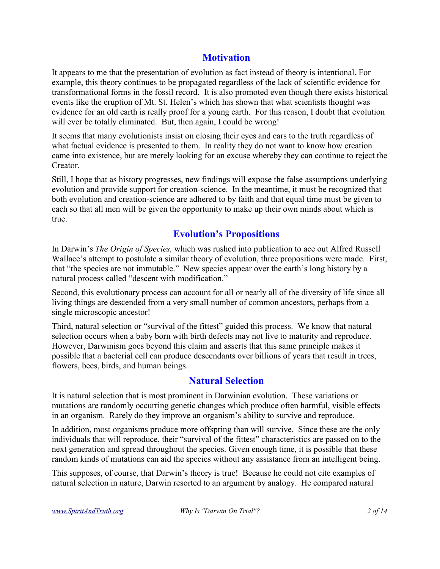# **Motivation**

It appears to me that the presentation of evolution as fact instead of theory is intentional. For example, this theory continues to be propagated regardless of the lack of scientific evidence for transformational forms in the fossil record. It is also promoted even though there exists historical events like the eruption of Mt. St. Helen's which has shown that what scientists thought was evidence for an old earth is really proof for a young earth. For this reason, I doubt that evolution will ever be totally eliminated. But, then again, I could be wrong!

It seems that many evolutionists insist on closing their eyes and ears to the truth regardless of what factual evidence is presented to them. In reality they do not want to know how creation came into existence, but are merely looking for an excuse whereby they can continue to reject the Creator.

Still, I hope that as history progresses, new findings will expose the false assumptions underlying evolution and provide support for creation-science. In the meantime, it must be recognized that both evolution and creation-science are adhered to by faith and that equal time must be given to each so that all men will be given the opportunity to make up their own minds about which is true.

# **Evolution's Propositions**

In Darwin's *The Origin of Species,* which was rushed into publication to ace out Alfred Russell Wallace's attempt to postulate a similar theory of evolution, three propositions were made. First, that "the species are not immutable." New species appear over the earth's long history by a natural process called "descent with modification."

Second, this evolutionary process can account for all or nearly all of the diversity of life since all living things are descended from a very small number of common ancestors, perhaps from a single microscopic ancestor!

Third, natural selection or "survival of the fittest" guided this process. We know that natural selection occurs when a baby born with birth defects may not live to maturity and reproduce. However, Darwinism goes beyond this claim and asserts that this same principle makes it possible that a bacterial cell can produce descendants over billions of years that result in trees, flowers, bees, birds, and human beings.

# **Natural Selection**

It is natural selection that is most prominent in Darwinian evolution. These variations or mutations are randomly occurring genetic changes which produce often harmful, visible effects in an organism. Rarely do they improve an organism's ability to survive and reproduce.

In addition, most organisms produce more offspring than will survive. Since these are the only individuals that will reproduce, their "survival of the fittest" characteristics are passed on to the next generation and spread throughout the species. Given enough time, it is possible that these random kinds of mutations can aid the species without any assistance from an intelligent being.

This supposes, of course, that Darwin's theory is true! Because he could not cite examples of natural selection in nature, Darwin resorted to an argument by analogy. He compared natural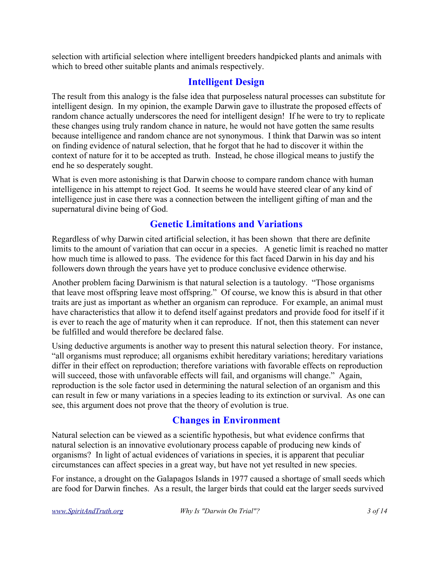selection with artificial selection where intelligent breeders handpicked plants and animals with which to breed other suitable plants and animals respectively.

# **Intelligent Design**

The result from this analogy is the false idea that purposeless natural processes can substitute for intelligent design. In my opinion, the example Darwin gave to illustrate the proposed effects of random chance actually underscores the need for intelligent design! If he were to try to replicate these changes using truly random chance in nature, he would not have gotten the same results because intelligence and random chance are not synonymous. I think that Darwin was so intent on finding evidence of natural selection, that he forgot that he had to discover it within the context of nature for it to be accepted as truth. Instead, he chose illogical means to justify the end he so desperately sought.

What is even more astonishing is that Darwin choose to compare random chance with human intelligence in his attempt to reject God. It seems he would have steered clear of any kind of intelligence just in case there was a connection between the intelligent gifting of man and the supernatural divine being of God.

# **Genetic Limitations and Variations**

Regardless of why Darwin cited artificial selection, it has been shown that there are definite limits to the amount of variation that can occur in a species. A genetic limit is reached no matter how much time is allowed to pass. The evidence for this fact faced Darwin in his day and his followers down through the years have yet to produce conclusive evidence otherwise.

Another problem facing Darwinism is that natural selection is a tautology. "Those organisms that leave most offspring leave most offspring." Of course, we know this is absurd in that other traits are just as important as whether an organism can reproduce. For example, an animal must have characteristics that allow it to defend itself against predators and provide food for itself if it is ever to reach the age of maturity when it can reproduce. If not, then this statement can never be fulfilled and would therefore be declared false.

Using deductive arguments is another way to present this natural selection theory. For instance, "all organisms must reproduce; all organisms exhibit hereditary variations; hereditary variations differ in their effect on reproduction; therefore variations with favorable effects on reproduction will succeed, those with unfavorable effects will fail, and organisms will change." Again, reproduction is the sole factor used in determining the natural selection of an organism and this can result in few or many variations in a species leading to its extinction or survival. As one can see, this argument does not prove that the theory of evolution is true.

# **Changes in Environment**

Natural selection can be viewed as a scientific hypothesis, but what evidence confirms that natural selection is an innovative evolutionary process capable of producing new kinds of organisms? In light of actual evidences of variations in species, it is apparent that peculiar circumstances can affect species in a great way, but have not yet resulted in new species.

For instance, a drought on the Galapagos Islands in 1977 caused a shortage of small seeds which are food for Darwin finches. As a result, the larger birds that could eat the larger seeds survived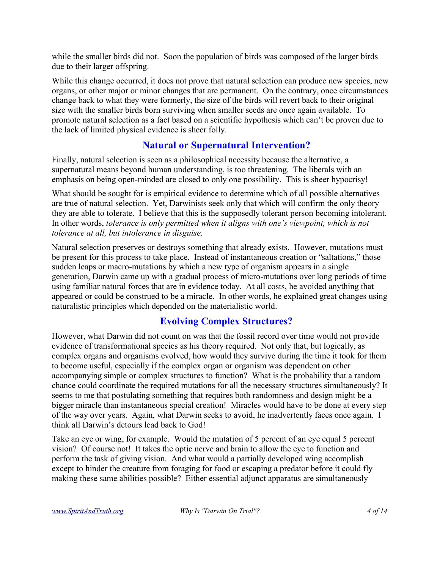while the smaller birds did not. Soon the population of birds was composed of the larger birds due to their larger offspring.

While this change occurred, it does not prove that natural selection can produce new species, new organs, or other major or minor changes that are permanent. On the contrary, once circumstances change back to what they were formerly, the size of the birds will revert back to their original size with the smaller birds born surviving when smaller seeds are once again available. To promote natural selection as a fact based on a scientific hypothesis which can't be proven due to the lack of limited physical evidence is sheer folly.

# **Natural or Supernatural Intervention?**

Finally, natural selection is seen as a philosophical necessity because the alternative, a supernatural means beyond human understanding, is too threatening. The liberals with an emphasis on being open-minded are closed to only one possibility. This is sheer hypocrisy!

What should be sought for is empirical evidence to determine which of all possible alternatives are true of natural selection. Yet, Darwinists seek only that which will confirm the only theory they are able to tolerate. I believe that this is the supposedly tolerant person becoming intolerant. In other words, *tolerance is only permitted when it aligns with one's viewpoint, which is not tolerance at all, but intolerance in disguise.*

Natural selection preserves or destroys something that already exists. However, mutations must be present for this process to take place. Instead of instantaneous creation or "saltations," those sudden leaps or macro-mutations by which a new type of organism appears in a single generation, Darwin came up with a gradual process of micro-mutations over long periods of time using familiar natural forces that are in evidence today. At all costs, he avoided anything that appeared or could be construed to be a miracle. In other words, he explained great changes using naturalistic principles which depended on the materialistic world.

# **Evolving Complex Structures?**

However, what Darwin did not count on was that the fossil record over time would not provide evidence of transformational species as his theory required. Not only that, but logically, as complex organs and organisms evolved, how would they survive during the time it took for them to become useful, especially if the complex organ or organism was dependent on other accompanying simple or complex structures to function? What is the probability that a random chance could coordinate the required mutations for all the necessary structures simultaneously? It seems to me that postulating something that requires both randomness and design might be a bigger miracle than instantaneous special creation! Miracles would have to be done at every step of the way over years. Again, what Darwin seeks to avoid, he inadvertently faces once again. I think all Darwin's detours lead back to God!

Take an eye or wing, for example. Would the mutation of 5 percent of an eye equal 5 percent vision? Of course not! It takes the optic nerve and brain to allow the eye to function and perform the task of giving vision. And what would a partially developed wing accomplish except to hinder the creature from foraging for food or escaping a predator before it could fly making these same abilities possible? Either essential adjunct apparatus are simultaneously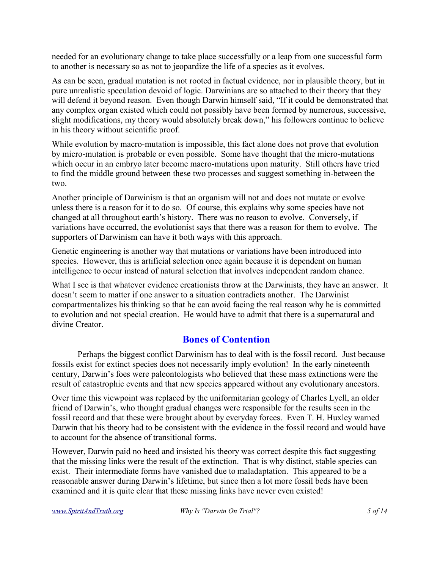needed for an evolutionary change to take place successfully or a leap from one successful form to another is necessary so as not to jeopardize the life of a species as it evolves.

As can be seen, gradual mutation is not rooted in factual evidence, nor in plausible theory, but in pure unrealistic speculation devoid of logic. Darwinians are so attached to their theory that they will defend it beyond reason. Even though Darwin himself said, "If it could be demonstrated that any complex organ existed which could not possibly have been formed by numerous, successive, slight modifications, my theory would absolutely break down," his followers continue to believe in his theory without scientific proof.

While evolution by macro-mutation is impossible, this fact alone does not prove that evolution by micro-mutation is probable or even possible. Some have thought that the micro-mutations which occur in an embryo later become macro-mutations upon maturity. Still others have tried to find the middle ground between these two processes and suggest something in-between the two.

Another principle of Darwinism is that an organism will not and does not mutate or evolve unless there is a reason for it to do so. Of course, this explains why some species have not changed at all throughout earth's history. There was no reason to evolve. Conversely, if variations have occurred, the evolutionist says that there was a reason for them to evolve. The supporters of Darwinism can have it both ways with this approach.

Genetic engineering is another way that mutations or variations have been introduced into species. However, this is artificial selection once again because it is dependent on human intelligence to occur instead of natural selection that involves independent random chance.

What I see is that whatever evidence creationists throw at the Darwinists, they have an answer. It doesn't seem to matter if one answer to a situation contradicts another. The Darwinist compartmentalizes his thinking so that he can avoid facing the real reason why he is committed to evolution and not special creation. He would have to admit that there is a supernatural and divine Creator.

# **Bones of Contention**

Perhaps the biggest conflict Darwinism has to deal with is the fossil record. Just because fossils exist for extinct species does not necessarily imply evolution! In the early nineteenth century, Darwin's foes were paleontologists who believed that these mass extinctions were the result of catastrophic events and that new species appeared without any evolutionary ancestors.

Over time this viewpoint was replaced by the uniformitarian geology of Charles Lyell, an older friend of Darwin's, who thought gradual changes were responsible for the results seen in the fossil record and that these were brought about by everyday forces. Even T. H. Huxley warned Darwin that his theory had to be consistent with the evidence in the fossil record and would have to account for the absence of transitional forms.

However, Darwin paid no heed and insisted his theory was correct despite this fact suggesting that the missing links were the result of the extinction. That is why distinct, stable species can exist. Their intermediate forms have vanished due to maladaptation. This appeared to be a reasonable answer during Darwin's lifetime, but since then a lot more fossil beds have been examined and it is quite clear that these missing links have never even existed!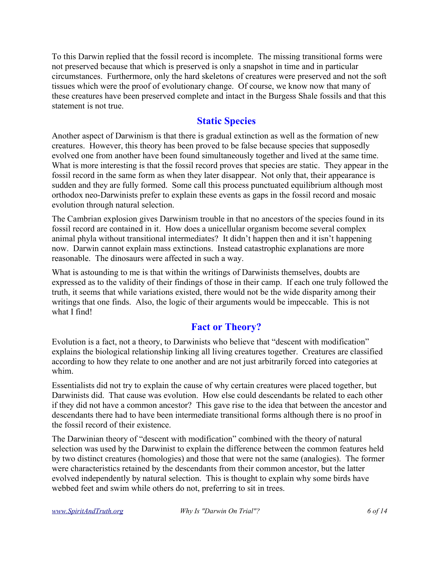To this Darwin replied that the fossil record is incomplete. The missing transitional forms were not preserved because that which is preserved is only a snapshot in time and in particular circumstances. Furthermore, only the hard skeletons of creatures were preserved and not the soft tissues which were the proof of evolutionary change. Of course, we know now that many of these creatures have been preserved complete and intact in the Burgess Shale fossils and that this statement is not true.

#### **Static Species**

Another aspect of Darwinism is that there is gradual extinction as well as the formation of new creatures. However, this theory has been proved to be false because species that supposedly evolved one from another have been found simultaneously together and lived at the same time. What is more interesting is that the fossil record proves that species are static. They appear in the fossil record in the same form as when they later disappear. Not only that, their appearance is sudden and they are fully formed. Some call this process punctuated equilibrium although most orthodox neo-Darwinists prefer to explain these events as gaps in the fossil record and mosaic evolution through natural selection.

The Cambrian explosion gives Darwinism trouble in that no ancestors of the species found in its fossil record are contained in it. How does a unicellular organism become several complex animal phyla without transitional intermediates? It didn't happen then and it isn't happening now. Darwin cannot explain mass extinctions. Instead catastrophic explanations are more reasonable. The dinosaurs were affected in such a way.

What is astounding to me is that within the writings of Darwinists themselves, doubts are expressed as to the validity of their findings of those in their camp. If each one truly followed the truth, it seems that while variations existed, there would not be the wide disparity among their writings that one finds. Also, the logic of their arguments would be impeccable. This is not what I find!

# **Fact or Theory?**

Evolution is a fact, not a theory, to Darwinists who believe that "descent with modification" explains the biological relationship linking all living creatures together. Creatures are classified according to how they relate to one another and are not just arbitrarily forced into categories at whim.

Essentialists did not try to explain the cause of why certain creatures were placed together, but Darwinists did. That cause was evolution. How else could descendants be related to each other if they did not have a common ancestor? This gave rise to the idea that between the ancestor and descendants there had to have been intermediate transitional forms although there is no proof in the fossil record of their existence.

The Darwinian theory of "descent with modification" combined with the theory of natural selection was used by the Darwinist to explain the difference between the common features held by two distinct creatures (homologies) and those that were not the same (analogies). The former were characteristics retained by the descendants from their common ancestor, but the latter evolved independently by natural selection. This is thought to explain why some birds have webbed feet and swim while others do not, preferring to sit in trees.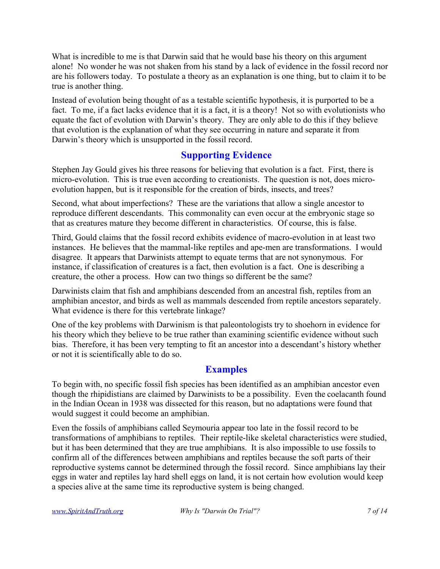What is incredible to me is that Darwin said that he would base his theory on this argument alone! No wonder he was not shaken from his stand by a lack of evidence in the fossil record nor are his followers today. To postulate a theory as an explanation is one thing, but to claim it to be true is another thing.

Instead of evolution being thought of as a testable scientific hypothesis, it is purported to be a fact. To me, if a fact lacks evidence that it is a fact, it is a theory! Not so with evolutionists who equate the fact of evolution with Darwin's theory. They are only able to do this if they believe that evolution is the explanation of what they see occurring in nature and separate it from Darwin's theory which is unsupported in the fossil record.

#### **Supporting Evidence**

Stephen Jay Gould gives his three reasons for believing that evolution is a fact. First, there is micro-evolution. This is true even according to creationists. The question is not, does microevolution happen, but is it responsible for the creation of birds, insects, and trees?

Second, what about imperfections? These are the variations that allow a single ancestor to reproduce different descendants. This commonality can even occur at the embryonic stage so that as creatures mature they become different in characteristics. Of course, this is false.

Third, Gould claims that the fossil record exhibits evidence of macro-evolution in at least two instances. He believes that the mammal-like reptiles and ape-men are transformations. I would disagree. It appears that Darwinists attempt to equate terms that are not synonymous. For instance, if classification of creatures is a fact, then evolution is a fact. One is describing a creature, the other a process. How can two things so different be the same?

Darwinists claim that fish and amphibians descended from an ancestral fish, reptiles from an amphibian ancestor, and birds as well as mammals descended from reptile ancestors separately. What evidence is there for this vertebrate linkage?

One of the key problems with Darwinism is that paleontologists try to shoehorn in evidence for his theory which they believe to be true rather than examining scientific evidence without such bias. Therefore, it has been very tempting to fit an ancestor into a descendant's history whether or not it is scientifically able to do so.

# **Examples**

To begin with, no specific fossil fish species has been identified as an amphibian ancestor even though the rhipidistians are claimed by Darwinists to be a possibility. Even the coelacanth found in the Indian Ocean in 1938 was dissected for this reason, but no adaptations were found that would suggest it could become an amphibian.

Even the fossils of amphibians called Seymouria appear too late in the fossil record to be transformations of amphibians to reptiles. Their reptile-like skeletal characteristics were studied, but it has been determined that they are true amphibians. It is also impossible to use fossils to confirm all of the differences between amphibians and reptiles because the soft parts of their reproductive systems cannot be determined through the fossil record. Since amphibians lay their eggs in water and reptiles lay hard shell eggs on land, it is not certain how evolution would keep a species alive at the same time its reproductive system is being changed.

*www.SpiritAndTruth.org Why Is "Darwin On Trial"? 7 of 14*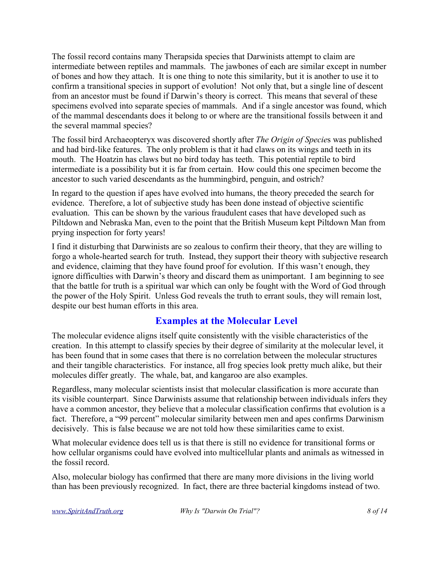The fossil record contains many Therapsida species that Darwinists attempt to claim are intermediate between reptiles and mammals. The jawbones of each are similar except in number of bones and how they attach. It is one thing to note this similarity, but it is another to use it to confirm a transitional species in support of evolution! Not only that, but a single line of descent from an ancestor must be found if Darwin's theory is correct. This means that several of these specimens evolved into separate species of mammals. And if a single ancestor was found, which of the mammal descendants does it belong to or where are the transitional fossils between it and the several mammal species?

The fossil bird Archaeopteryx was discovered shortly after *The Origin of Specie*s was published and had bird-like features. The only problem is that it had claws on its wings and teeth in its mouth. The Hoatzin has claws but no bird today has teeth. This potential reptile to bird intermediate is a possibility but it is far from certain. How could this one specimen become the ancestor to such varied descendants as the hummingbird, penguin, and ostrich?

In regard to the question if apes have evolved into humans, the theory preceded the search for evidence. Therefore, a lot of subjective study has been done instead of objective scientific evaluation. This can be shown by the various fraudulent cases that have developed such as Piltdown and Nebraska Man, even to the point that the British Museum kept Piltdown Man from prying inspection for forty years!

I find it disturbing that Darwinists are so zealous to confirm their theory, that they are willing to forgo a whole-hearted search for truth. Instead, they support their theory with subjective research and evidence, claiming that they have found proof for evolution. If this wasn't enough, they ignore difficulties with Darwin's theory and discard them as unimportant. I am beginning to see that the battle for truth is a spiritual war which can only be fought with the Word of God through the power of the Holy Spirit. Unless God reveals the truth to errant souls, they will remain lost, despite our best human efforts in this area.

# **Examples at the Molecular Level**

The molecular evidence aligns itself quite consistently with the visible characteristics of the creation. In this attempt to classify species by their degree of similarity at the molecular level, it has been found that in some cases that there is no correlation between the molecular structures and their tangible characteristics. For instance, all frog species look pretty much alike, but their molecules differ greatly. The whale, bat, and kangaroo are also examples.

Regardless, many molecular scientists insist that molecular classification is more accurate than its visible counterpart. Since Darwinists assume that relationship between individuals infers they have a common ancestor, they believe that a molecular classification confirms that evolution is a fact. Therefore, a "99 percent" molecular similarity between men and apes confirms Darwinism decisively. This is false because we are not told how these similarities came to exist.

What molecular evidence does tell us is that there is still no evidence for transitional forms or how cellular organisms could have evolved into multicellular plants and animals as witnessed in the fossil record.

Also, molecular biology has confirmed that there are many more divisions in the living world than has been previously recognized. In fact, there are three bacterial kingdoms instead of two.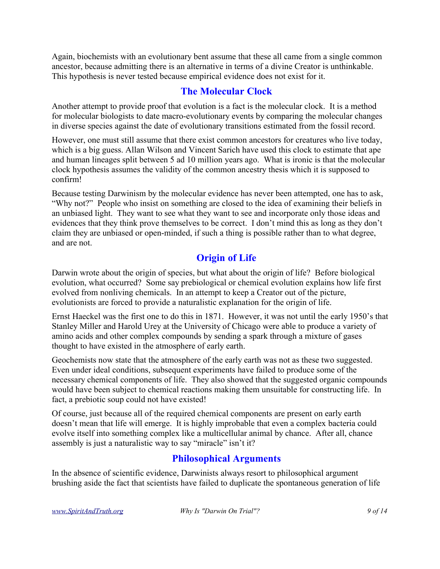Again, biochemists with an evolutionary bent assume that these all came from a single common ancestor, because admitting there is an alternative in terms of a divine Creator is unthinkable. This hypothesis is never tested because empirical evidence does not exist for it.

# **The Molecular Clock**

Another attempt to provide proof that evolution is a fact is the molecular clock. It is a method for molecular biologists to date macro-evolutionary events by comparing the molecular changes in diverse species against the date of evolutionary transitions estimated from the fossil record.

However, one must still assume that there exist common ancestors for creatures who live today, which is a big guess. Allan Wilson and Vincent Sarich have used this clock to estimate that ape and human lineages split between 5 ad 10 million years ago. What is ironic is that the molecular clock hypothesis assumes the validity of the common ancestry thesis which it is supposed to confirm!

Because testing Darwinism by the molecular evidence has never been attempted, one has to ask, "Why not?" People who insist on something are closed to the idea of examining their beliefs in an unbiased light. They want to see what they want to see and incorporate only those ideas and evidences that they think prove themselves to be correct. I don't mind this as long as they don't claim they are unbiased or open-minded, if such a thing is possible rather than to what degree, and are not.

# **Origin of Life**

Darwin wrote about the origin of species, but what about the origin of life? Before biological evolution, what occurred? Some say prebiological or chemical evolution explains how life first evolved from nonliving chemicals. In an attempt to keep a Creator out of the picture, evolutionists are forced to provide a naturalistic explanation for the origin of life.

Ernst Haeckel was the first one to do this in 1871. However, it was not until the early 1950's that Stanley Miller and Harold Urey at the University of Chicago were able to produce a variety of amino acids and other complex compounds by sending a spark through a mixture of gases thought to have existed in the atmosphere of early earth.

Geochemists now state that the atmosphere of the early earth was not as these two suggested. Even under ideal conditions, subsequent experiments have failed to produce some of the necessary chemical components of life. They also showed that the suggested organic compounds would have been subject to chemical reactions making them unsuitable for constructing life. In fact, a prebiotic soup could not have existed!

Of course, just because all of the required chemical components are present on early earth doesn't mean that life will emerge. It is highly improbable that even a complex bacteria could evolve itself into something complex like a multicellular animal by chance. After all, chance assembly is just a naturalistic way to say "miracle" isn't it?

# **Philosophical Arguments**

In the absence of scientific evidence, Darwinists always resort to philosophical argument brushing aside the fact that scientists have failed to duplicate the spontaneous generation of life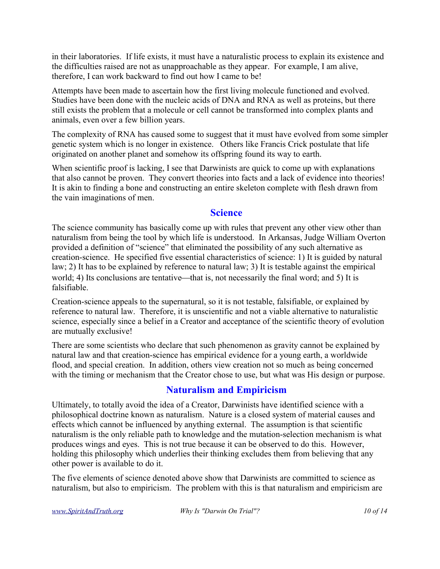in their laboratories. If life exists, it must have a naturalistic process to explain its existence and the difficulties raised are not as unapproachable as they appear. For example, I am alive, therefore, I can work backward to find out how I came to be!

Attempts have been made to ascertain how the first living molecule functioned and evolved. Studies have been done with the nucleic acids of DNA and RNA as well as proteins, but there still exists the problem that a molecule or cell cannot be transformed into complex plants and animals, even over a few billion years.

The complexity of RNA has caused some to suggest that it must have evolved from some simpler genetic system which is no longer in existence. Others like Francis Crick postulate that life originated on another planet and somehow its offspring found its way to earth.

When scientific proof is lacking, I see that Darwinists are quick to come up with explanations that also cannot be proven. They convert theories into facts and a lack of evidence into theories! It is akin to finding a bone and constructing an entire skeleton complete with flesh drawn from the vain imaginations of men.

#### **Science**

The science community has basically come up with rules that prevent any other view other than naturalism from being the tool by which life is understood. In Arkansas, Judge William Overton provided a definition of "science" that eliminated the possibility of any such alternative as creation-science. He specified five essential characteristics of science: 1) It is guided by natural law; 2) It has to be explained by reference to natural law; 3) It is testable against the empirical world; 4) Its conclusions are tentative—that is, not necessarily the final word; and 5) It is falsifiable.

Creation-science appeals to the supernatural, so it is not testable, falsifiable, or explained by reference to natural law. Therefore, it is unscientific and not a viable alternative to naturalistic science, especially since a belief in a Creator and acceptance of the scientific theory of evolution are mutually exclusive!

There are some scientists who declare that such phenomenon as gravity cannot be explained by natural law and that creation-science has empirical evidence for a young earth, a worldwide flood, and special creation. In addition, others view creation not so much as being concerned with the timing or mechanism that the Creator chose to use, but what was His design or purpose.

# **Naturalism and Empiricism**

Ultimately, to totally avoid the idea of a Creator, Darwinists have identified science with a philosophical doctrine known as naturalism. Nature is a closed system of material causes and effects which cannot be influenced by anything external. The assumption is that scientific naturalism is the only reliable path to knowledge and the mutation-selection mechanism is what produces wings and eyes. This is not true because it can be observed to do this. However, holding this philosophy which underlies their thinking excludes them from believing that any other power is available to do it.

The five elements of science denoted above show that Darwinists are committed to science as naturalism, but also to empiricism. The problem with this is that naturalism and empiricism are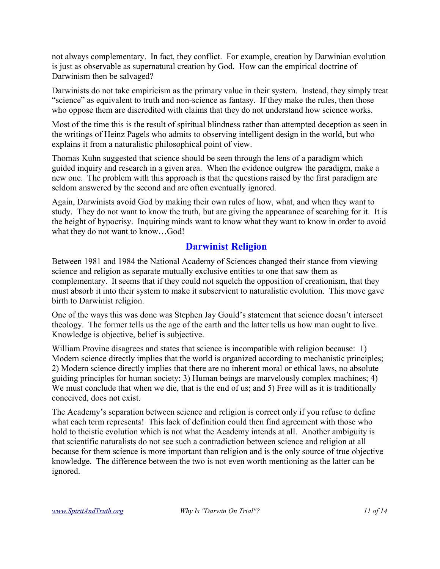not always complementary. In fact, they conflict. For example, creation by Darwinian evolution is just as observable as supernatural creation by God. How can the empirical doctrine of Darwinism then be salvaged?

Darwinists do not take empiricism as the primary value in their system. Instead, they simply treat "science" as equivalent to truth and non-science as fantasy. If they make the rules, then those who oppose them are discredited with claims that they do not understand how science works.

Most of the time this is the result of spiritual blindness rather than attempted deception as seen in the writings of Heinz Pagels who admits to observing intelligent design in the world, but who explains it from a naturalistic philosophical point of view.

Thomas Kuhn suggested that science should be seen through the lens of a paradigm which guided inquiry and research in a given area. When the evidence outgrew the paradigm, make a new one. The problem with this approach is that the questions raised by the first paradigm are seldom answered by the second and are often eventually ignored.

Again, Darwinists avoid God by making their own rules of how, what, and when they want to study. They do not want to know the truth, but are giving the appearance of searching for it. It is the height of hypocrisy. Inquiring minds want to know what they want to know in order to avoid what they do not want to know…God!

# **Darwinist Religion**

Between 1981 and 1984 the National Academy of Sciences changed their stance from viewing science and religion as separate mutually exclusive entities to one that saw them as complementary. It seems that if they could not squelch the opposition of creationism, that they must absorb it into their system to make it subservient to naturalistic evolution. This move gave birth to Darwinist religion.

One of the ways this was done was Stephen Jay Gould's statement that science doesn't intersect theology. The former tells us the age of the earth and the latter tells us how man ought to live. Knowledge is objective, belief is subjective.

William Provine disagrees and states that science is incompatible with religion because: 1) Modern science directly implies that the world is organized according to mechanistic principles; 2) Modern science directly implies that there are no inherent moral or ethical laws, no absolute guiding principles for human society; 3) Human beings are marvelously complex machines; 4) We must conclude that when we die, that is the end of us; and 5) Free will as it is traditionally conceived, does not exist.

The Academy's separation between science and religion is correct only if you refuse to define what each term represents! This lack of definition could then find agreement with those who hold to theistic evolution which is not what the Academy intends at all. Another ambiguity is that scientific naturalists do not see such a contradiction between science and religion at all because for them science is more important than religion and is the only source of true objective knowledge. The difference between the two is not even worth mentioning as the latter can be ignored.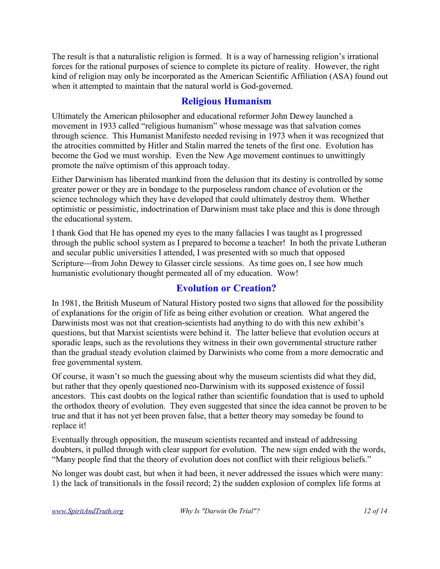The result is that a naturalistic religion is formed. It is a way of harnessing religion's irrational forces for the rational purposes of science to complete its picture of reality. However, the right kind of religion may only be incorporated as the American Scientific Affiliation (ASA) found out when it attempted to maintain that the natural world is God-governed.

# **Religious Humanism**

Ultimately the American philosopher and educational reformer John Dewey launched a movement in 1933 called "religious humanism" whose message was that salvation comes through science. This Humanist Manifesto needed revising in 1973 when it was recognized that the atrocities committed by Hitler and Stalin marred the tenets of the first one. Evolution has become the God we must worship. Even the New Age movement continues to unwittingly promote the naïve optimism of this approach today.

Either Darwinism has liberated mankind from the delusion that its destiny is controlled by some greater power or they are in bondage to the purposeless random chance of evolution or the science technology which they have developed that could ultimately destroy them. Whether optimistic or pessimistic, indoctrination of Darwinism must take place and this is done through the educational system.

I thank God that He has opened my eyes to the many fallacies I was taught as I progressed through the public school system as I prepared to become a teacher! In both the private Lutheran and secular public universities I attended, I was presented with so much that opposed Scripture—from John Dewey to Glasser circle sessions. As time goes on, I see how much humanistic evolutionary thought permeated all of my education. Wow!

# **Evolution or Creation?**

In 1981, the British Museum of Natural History posted two signs that allowed for the possibility of explanations for the origin of life as being either evolution or creation. What angered the Darwinists most was not that creation-scientists had anything to do with this new exhibit's questions, but that Marxist scientists were behind it. The latter believe that evolution occurs at sporadic leaps, such as the revolutions they witness in their own governmental structure rather than the gradual steady evolution claimed by Darwinists who come from a more democratic and free governmental system.

Of course, it wasn't so much the guessing about why the museum scientists did what they did, but rather that they openly questioned neo-Darwinism with its supposed existence of fossil ancestors. This cast doubts on the logical rather than scientific foundation that is used to uphold the orthodox theory of evolution. They even suggested that since the idea cannot be proven to be true and that it has not yet been proven false, that a better theory may someday be found to replace it!

Eventually through opposition, the museum scientists recanted and instead of addressing doubters, it pulled through with clear support for evolution. The new sign ended with the words, "Many people find that the theory of evolution does not conflict with their religious beliefs."

No longer was doubt cast, but when it had been, it never addressed the issues which were many: 1) the lack of transitionals in the fossil record; 2) the sudden explosion of complex life forms at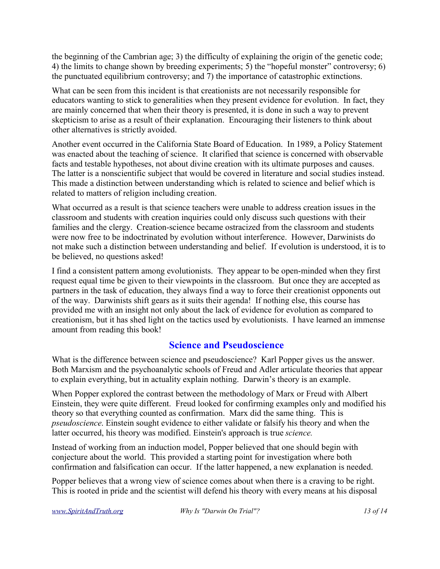the beginning of the Cambrian age; 3) the difficulty of explaining the origin of the genetic code; 4) the limits to change shown by breeding experiments; 5) the "hopeful monster" controversy; 6) the punctuated equilibrium controversy; and 7) the importance of catastrophic extinctions.

What can be seen from this incident is that creationists are not necessarily responsible for educators wanting to stick to generalities when they present evidence for evolution. In fact, they are mainly concerned that when their theory is presented, it is done in such a way to prevent skepticism to arise as a result of their explanation. Encouraging their listeners to think about other alternatives is strictly avoided.

Another event occurred in the California State Board of Education. In 1989, a Policy Statement was enacted about the teaching of science. It clarified that science is concerned with observable facts and testable hypotheses, not about divine creation with its ultimate purposes and causes. The latter is a nonscientific subject that would be covered in literature and social studies instead. This made a distinction between understanding which is related to science and belief which is related to matters of religion including creation.

What occurred as a result is that science teachers were unable to address creation issues in the classroom and students with creation inquiries could only discuss such questions with their families and the clergy. Creation-science became ostracized from the classroom and students were now free to be indoctrinated by evolution without interference. However, Darwinists do not make such a distinction between understanding and belief. If evolution is understood, it is to be believed, no questions asked!

I find a consistent pattern among evolutionists. They appear to be open-minded when they first request equal time be given to their viewpoints in the classroom. But once they are accepted as partners in the task of education, they always find a way to force their creationist opponents out of the way. Darwinists shift gears as it suits their agenda! If nothing else, this course has provided me with an insight not only about the lack of evidence for evolution as compared to creationism, but it has shed light on the tactics used by evolutionists. I have learned an immense amount from reading this book!

# **Science and Pseudoscience**

What is the difference between science and pseudoscience? Karl Popper gives us the answer. Both Marxism and the psychoanalytic schools of Freud and Adler articulate theories that appear to explain everything, but in actuality explain nothing. Darwin's theory is an example.

When Popper explored the contrast between the methodology of Marx or Freud with Albert Einstein, they were quite different. Freud looked for confirming examples only and modified his theory so that everything counted as confirmation. Marx did the same thing. This is *pseudoscience*. Einstein sought evidence to either validate or falsify his theory and when the latter occurred, his theory was modified. Einstein's approach is true *science.*

Instead of working from an induction model, Popper believed that one should begin with conjecture about the world. This provided a starting point for investigation where both confirmation and falsification can occur. If the latter happened, a new explanation is needed.

Popper believes that a wrong view of science comes about when there is a craving to be right. This is rooted in pride and the scientist will defend his theory with every means at his disposal